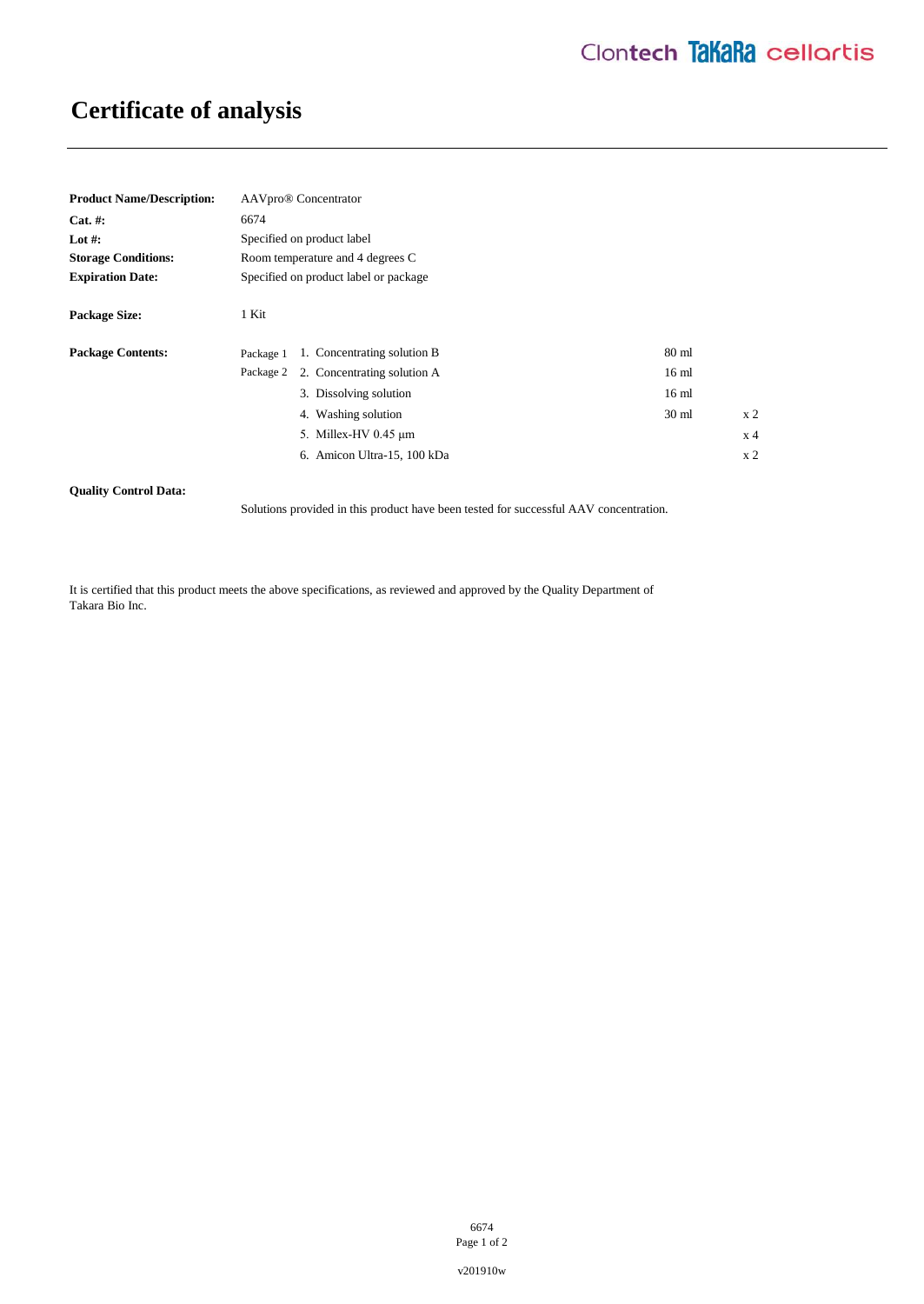# **Certificate of analysis**

| <b>Product Name/Description:</b> | AAVpro® Concentrator                                         |                |
|----------------------------------|--------------------------------------------------------------|----------------|
| $Cat. \#:$                       | 6674                                                         |                |
| Lot #:                           | Specified on product label                                   |                |
| <b>Storage Conditions:</b>       | Room temperature and 4 degrees C                             |                |
| <b>Expiration Date:</b>          | Specified on product label or package                        |                |
| <b>Package Size:</b>             | 1 Kit                                                        |                |
| <b>Package Contents:</b>         | 1. Concentrating solution B<br>$80 \text{ ml}$<br>Package 1  |                |
|                                  | 2. Concentrating solution A<br>16 <sub>ml</sub><br>Package 2 |                |
|                                  | 3. Dissolving solution<br>16 <sub>ml</sub>                   |                |
|                                  | 4. Washing solution<br>30 <sub>ml</sub>                      | x <sub>2</sub> |
|                                  | 5. Millex-HV 0.45 µm                                         | x 4            |
|                                  | 6. Amicon Ultra-15, 100 kDa                                  | x <sub>2</sub> |

### **Quality Control Data:**

Solutions provided in this product have been tested for successful AAV concentration.

It is certified that this product meets the above specifications, as reviewed and approved by the Quality Department of Takara Bio Inc.

> 6674 Page 1 of 2

v201910w